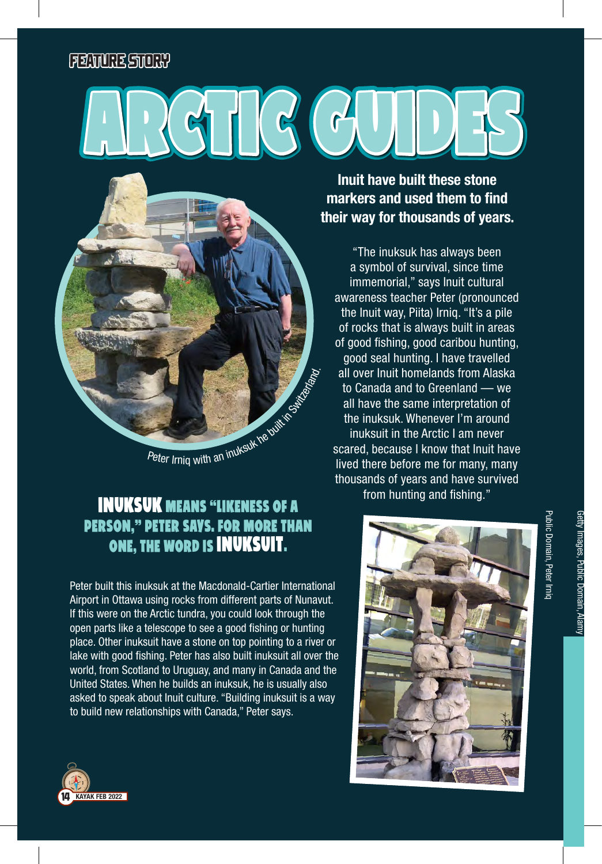## FEATURE STORY

## $G$



## Inuksuk means "likeness of a person," Peter says. For more than one, the word is inuksuit.

Peter built this inuksuk at the Macdonald-Cartier International Airport in Ottawa using rocks from different parts of Nunavut. If this were on the Arctic tundra, you could look through the open parts like a telescope to see a good fishing or hunting place. Other inuksuit have a stone on top pointing to a river or lake with good fishing. Peter has also built inuksuit all over the world, from Scotland to Uruguay, and many in Canada and the United States. When he builds an inuksuk, he is usually also asked to speak about Inuit culture. "Building inuksuit is a way to build new relationships with Canada," Peter says.



"The inuksuk has always been a symbol of survival, since time immemorial," says Inuit cultural awareness teacher Peter (pronounced the Inuit way, Piita) Irniq. "It's a pile of rocks that is always built in areas of good fishing, good caribou hunting, good seal hunting. I have travelled all over Inuit homelands from Alaska to Canada and to Greenland — we all have the same interpretation of the inuksuk. Whenever I'm around inuksuit in the Arctic I am never scared, because I know that Inuit have lived there before me for many, many thousands of years and have survived from hunting and fishing."